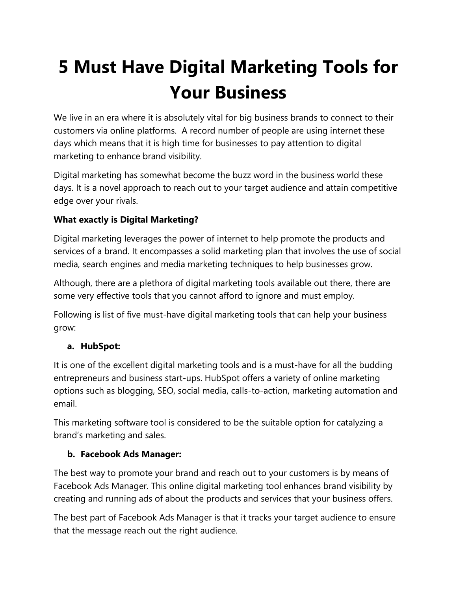# **5 Must Have Digital Marketing Tools for Your Business**

We live in an era where it is absolutely vital for big business brands to connect to their customers via online platforms. A record number of people are using internet these days which means that it is high time for businesses to pay attention to digital marketing to enhance brand visibility.

Digital marketing has somewhat become the buzz word in the business world these days. It is a novel approach to reach out to your target audience and attain competitive edge over your rivals.

## **What exactly is Digital Marketing?**

Digital marketing leverages the power of internet to help promote the products and services of a brand. It encompasses a solid marketing plan that involves the use of social media, search engines and media marketing techniques to help businesses grow.

Although, there are a plethora of digital marketing tools available out there, there are some very effective tools that you cannot afford to ignore and must employ.

Following is list of five must-have digital marketing tools that can help your business grow:

### **a. HubSpot:**

It is one of the excellent digital marketing tools and is a must-have for all the budding entrepreneurs and business start-ups. HubSpot offers a variety of online marketing options such as blogging, SEO, social media, calls-to-action, marketing automation and email.

This marketing software tool is considered to be the suitable option for catalyzing a brand's marketing and sales.

### **b. Facebook Ads Manager:**

The best way to promote your brand and reach out to your customers is by means of Facebook Ads Manager. This online digital marketing tool enhances brand visibility by creating and running ads of about the products and services that your business offers.

The best part of Facebook Ads Manager is that it tracks your target audience to ensure that the message reach out the right audience.